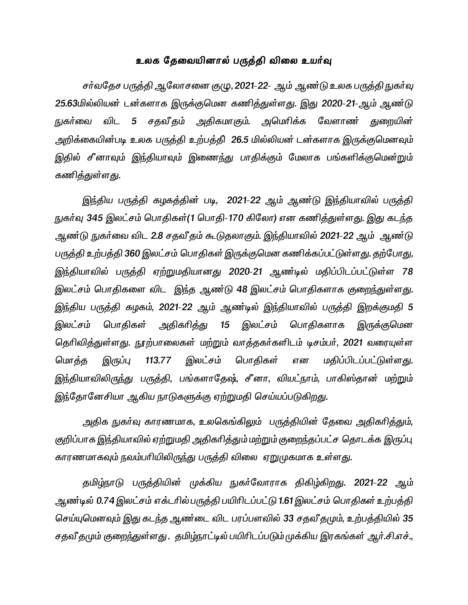# உலக தேவையினால் பருத்தி விலை உயர்வு

சர்வதேச பருத்தி ஆலோசனை குழு, 2021-22- ஆம் ஆண்டு உலக பருத்தி நுகர்வு 25.63மில்லியன் டன்களாக இருக்குமென கணித்துள்ளது. இது 2020-21-ஆம் ஆண்டு நுகர்வை விட 5 சதவீதம் அதிகமாகும். அமெரிக்க வேளாண் துறையின் அறிக்கையின்படி உலக பருத்தி உற்பத்தி 26.5 மில்லியன் டன்களாக இருக்குமெனவும் இதில் சீனாவும் இந்தியாவும் இணைந்து பாதிக்கும் மேலாக பங்களிக்குமென்றும் கணித்துள்ளது.

இந்திய பருத்தி கழகத்தின் படி, 2021-22 ஆம் ஆண்டு இந்தியாவில் பருத்தி நுகர்வு 345 இலட்சம் பொதிகள்(1 பொதி-170 கிலோ) என கணித்துள்ளது. இது கடந்த ஆண்டு நுகர்வை விட 2.8 சதவீதம் கூடுதலாகும். இந்தியாவில் 2021-22 ஆம் ஆண்டு பருத்தி உற்பத்தி 360 இலட்சம் பொதிகள் இருக்குமென கணிக்கப்பட்டுள்ளது. தற்போது, இந்தியாவில் பருத்தி ஏற்றுமதியானது 2020-21 ஆண்டில் மதிப்பிடப்பட்டுள்ள 78 இலட்சம் பொதிகளை விட இந்த ஆண்டு 48 இலட்சம் பொதிகளாக குறைந்துள்ளது. இந்திய பருத்தி கழகம், 2021-22 ஆம் ஆண்டில் இந்தியாவில் பருத்தி இறக்குமதி 5 இலட்சம் பொதிகள் அதிகரித்து 15 இலட்சம் பொதிகளாக இருக்குமென தெரிவித்துள்ளது. நூற்பாலைகள் மற்றும் வாத்தகர்களிடம் டிசம்பர், 2021 வரையுள்ள மொத்த இருப்பு 113.77 இலட்சம் பொதிகள் என மதிப்பிடப்பட்டுள்ளது. இந்தியாவிலிருந்து பருத்தி, பங்களாதேஷ், சீனா, வியட்நாம், பாகிஸ்தான் மற்றும் இந்தோனேசியா ஆகிய நாடுகளுக்கு ஏற்றுமதி செய்யப்படுகிறது.

அதிக நுகர்வு காரணமாக, உலகெங்கிலும் பருத்தியின் தேவை அதிகரித்தும், குறிப்பாக இந்தியாவில் ஏற்றுமதி அதிகரித்தும் மற்றும் குறைந்தப்பட்ச தொடக்க இருப்பு காரணமாகவும் நவம்பரியிலிருந்து பருத்தி விலை ஏறுமுகமாக உள்ளது.

தமிழ்நாடு பருத்தியின் முக்கிய நுகர்வோராக திகிழ்கிறது. 2021-22 ஆம் ஆண்டில் 0.74 இலட்சம் எக்டரில்பருத்தி பயிரிடப்பட்டு 1.61 இலட்சம் பொதிகள் உற்பத்தி செய்யுமெனவும் இது கடந்த ஆண்டை விட பரப்பளவில் 33 சதவீ தமும், உற்பத்தியில் 35 சதவீ தமும் குறைந்துள்ளது . தமிழ்நாட்டில் பயிரிடப்படும் முக்கிய இரகங்கள் ஆர்.சி.எச்.,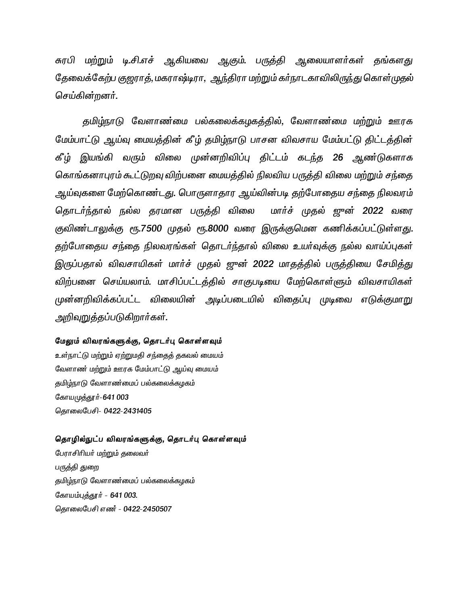சுரபி மற்றும் டி.சி.எச் ஆகியவை ஆகும். பருத்தி ஆலையாளர்கள் தங்களது தேவைக்கேற்ப குஜராத், மகராஷ்டிரா, ஆந்திரா மற்றும் கா்நாடகாவிலிருந்து கொள்முதல் செய்கின்றனர்.

தமிழ்நாடு வேளாண்மை பல்கலைக்கழகத்தில், வேளாண்மை மற்றும் ஊரக மேம்பாட்டு ஆய்வு மையத்தின் கீழ் தமிழ்நாடு பாசன விவசாய மேம்பட்டு திட்டத்தின் கீழ் இயங்கி வரும் விலை முன்னறிவிப்பு திட்டம் கடந்த 26 ஆண்டுகளாக கொங்கனாபுரம் கூட்டுறவு விற்பனை மையத்தில் நிலவிய பருத்தி விலை மற்றும் சந்தை அய்வுகளை மேற்கொண்டது. பொருளாதார ஆய்வின்படி தற்போதைய சந்தை நிலவரம் தொடர்ந்தால் நல்ல தரமான பருத்தி விலை மார்ச் முதல் ஜுன் 2022 வரை குவிண்டாலுக்கு ரூ.7500 முதல் ரூ.8000 வரை இருக்குமென கணிக்கப்பட்டுள்ளது. தற்போதைய சந்தை நிலவரங்கள் தொடர்ந்தால் விலை உயர்வுக்கு நல்ல வாய்ப்புகள் இருப்பதால் விவசாயிகள் மார்ச் முதல் ஜுன் 2022 மாதத்தில் பருத்தியை சேமித்து விற்பனை செய்யலாம். மாசிப்பட்டத்தில் சாகுபடியை மேற்கொள்ளும் விவசாயிகள் முன்னறிவிக்கப்பட்ட விலையின் அடிப்படையில் விதைப்பு முடிவை எடுக்குமாறு அறிவுறுத்தப்படுகிறார்கள்.

#### மேலும் விவரங்களுக்கு, தொடர்பு கொள்ளவும்

உள்நாட்டு மற்றும் ஏற்றுமதி சந்தைத் தகவல் மையம் வேளாண் மற்றும் ஊரக மேம்பாட்டு ஆய்வு மையம் தமிழ்நாடு வேளாண்மைப் பல்கலைக்கழகம் கோயமுத்தூர்-641 003 தொலைபேசி- 0422-2431405

### தொழில்நுட்ப விவரங்களுக்கு, தொடர்பு கொள்ளவும்

பேராசிரியர் மற்றும் தலைவர் பருத்தி துறை தமிழ்நாடு வேளாண்மைப் பல்கலைக்கழகம் கோயம்புத்தூர் - 641 003. தொலைபேசி எண் - 0422-2450507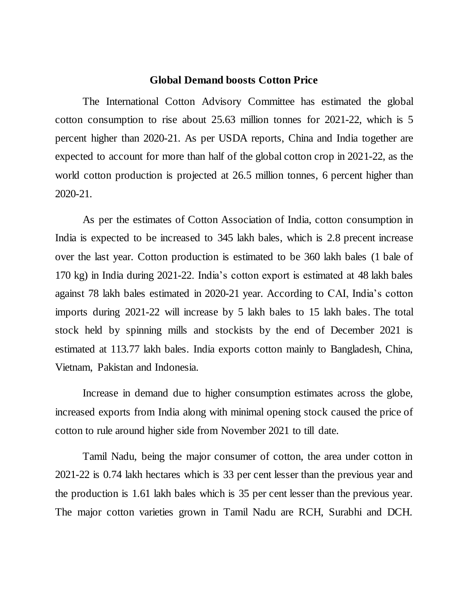# **Global Demand boosts Cotton Price**

The International Cotton Advisory Committee has estimated the global cotton consumption to rise about 25.63 million tonnes for 2021-22, which is 5 percent higher than 2020-21. As per USDA reports, China and India together are expected to account for more than half of the global cotton crop in 2021-22, as the world cotton production is projected at 26.5 million tonnes, 6 percent higher than 2020-21.

As per the estimates of Cotton Association of India, cotton consumption in India is expected to be increased to 345 lakh bales, which is 2.8 precent increase over the last year. Cotton production is estimated to be 360 lakh bales (1 bale of 170 kg) in India during 2021-22. India's cotton export is estimated at 48 lakh bales against 78 lakh bales estimated in 2020-21 year. According to CAI, India's cotton imports during 2021-22 will increase by 5 lakh bales to 15 lakh bales. The total stock held by spinning mills and stockists by the end of December 2021 is estimated at 113.77 lakh bales. India exports cotton mainly to Bangladesh, China, Vietnam, Pakistan and Indonesia.

Increase in demand due to higher consumption estimates across the globe, increased exports from India along with minimal opening stock caused the price of cotton to rule around higher side from November 2021 to till date.

Tamil Nadu, being the major consumer of cotton, the area under cotton in 2021-22 is 0.74 lakh hectares which is 33 per cent lesser than the previous year and the production is 1.61 lakh bales which is 35 per cent lesser than the previous year. The major cotton varieties grown in Tamil Nadu are RCH, Surabhi and DCH.